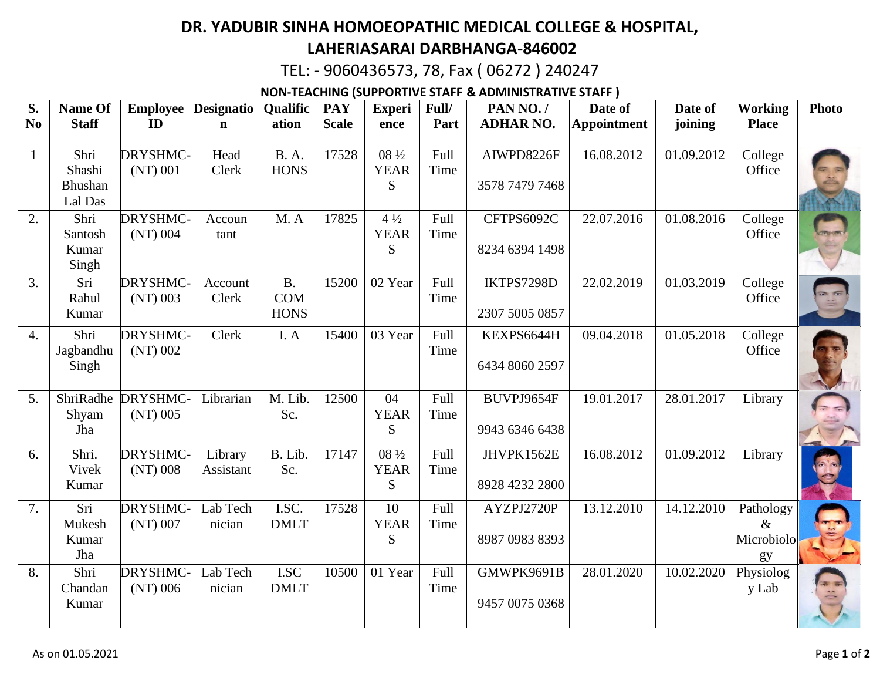## **DR. YADUBIR SINHA HOMOEOPATHIC MEDICAL COLLEGE & HOSPITAL, LAHERIASARAI DARBHANGA-846002**

TEL: - 9060436573, 78, Fax ( 06272 ) 240247

**NON-TEACHING (SUPPORTIVE STAFF & ADMINISTRATIVE STAFF )**

| S.<br>N <sub>0</sub> | Name Of<br><b>Staff</b>              | <b>Employee</b><br>ID         | <b>Designatio</b><br>$\mathbf n$ | <b>Qualific</b><br>ation               | <b>PAY</b><br><b>Scale</b> | <b>Experi</b><br>ence              | Full/<br>Part | PAN NO./<br><b>ADHAR NO.</b> | Date of<br><b>Appointment</b> | Date of<br>joining | <b>Working</b><br><b>Place</b>        | <b>Photo</b> |
|----------------------|--------------------------------------|-------------------------------|----------------------------------|----------------------------------------|----------------------------|------------------------------------|---------------|------------------------------|-------------------------------|--------------------|---------------------------------------|--------------|
| $\mathbf{1}$         | Shri<br>Shashi<br>Bhushan<br>Lal Das | DRYSHMC-<br>$(NT)$ 001        | Head<br>Clerk                    | <b>B.A.</b><br><b>HONS</b>             | 17528                      | 08 1/2<br><b>YEAR</b><br>S         | Full<br>Time  | AIWPD8226F<br>3578 7479 7468 | 16.08.2012                    | 01.09.2012         | College<br>Office                     |              |
| 2.                   | Shri<br>Santosh<br>Kumar<br>Singh    | <b>DRYSHMC-</b><br>$(NT)$ 004 | Accoun<br>tant                   | M.A                                    | 17825                      | $4\frac{1}{2}$<br><b>YEAR</b><br>S | Full<br>Time  | CFTPS6092C<br>8234 6394 1498 | 22.07.2016                    | 01.08.2016         | College<br>Office                     |              |
| 3.                   | Sri<br>Rahul<br>Kumar                | <b>DRYSHMC</b><br>$(NT)$ 003  | Account<br>Clerk                 | <b>B.</b><br><b>COM</b><br><b>HONS</b> | 15200                      | 02 Year                            | Full<br>Time  | IKTPS7298D<br>2307 5005 0857 | 22.02.2019                    | 01.03.2019         | College<br>Office                     | $-50$        |
| $\overline{4}$ .     | Shri<br>Jagbandhu<br>Singh           | DRYSHMC-<br>$(NT)$ 002        | Clerk                            | I. A                                   | 15400                      | 03 Year                            | Full<br>Time  | KEXPS6644H<br>6434 8060 2597 | 09.04.2018                    | 01.05.2018         | College<br>Office                     |              |
| 5.                   | ShriRadhe<br>Shyam<br>Jha            | <b>DRYSHMC</b><br>$(NT)$ 005  | Librarian                        | M. Lib.<br>Sc.                         | 12500                      | 04<br><b>YEAR</b><br>S.            | Full<br>Time  | BUVPJ9654F<br>9943 6346 6438 | 19.01.2017                    | 28.01.2017         | Library                               |              |
| 6.                   | Shri.<br>Vivek<br>Kumar              | DRYSHMC-<br>$(NT)$ 008        | Library<br>Assistant             | B. Lib.<br>Sc.                         | 17147                      | 08 1/2<br><b>YEAR</b><br>S         | Full<br>Time  | JHVPK1562E<br>8928 4232 2800 | 16.08.2012                    | 01.09.2012         | Library                               |              |
| 7.                   | Sri<br>Mukesh<br>Kumar<br>Jha        | <b>DRYSHMC-</b><br>$(NT)$ 007 | Lab Tech<br>nician               | $LSC$ .<br><b>DMLT</b>                 | 17528                      | 10<br><b>YEAR</b><br>S             | Full<br>Time  | AYZPJ2720P<br>8987 0983 8393 | 13.12.2010                    | 14.12.2010         | Pathology<br>$\&$<br>Microbiolo<br>gy |              |
| 8.                   | Shri<br>Chandan<br>Kumar             | DRYSHMC-<br>$(NT)$ 006        | Lab Tech<br>nician               | I.SC<br><b>DMLT</b>                    | 10500                      | 01 Year                            | Full<br>Time  | GMWPK9691B<br>9457 0075 0368 | 28.01.2020                    | 10.02.2020         | Physiolog<br>y Lab                    |              |